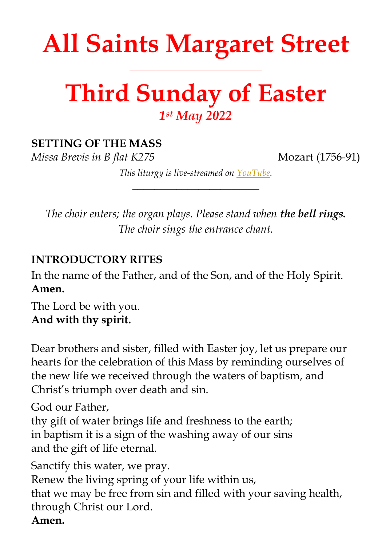# **All Saints Margaret Street**

**\_\_\_\_\_\_\_\_\_\_\_\_\_\_\_\_\_\_\_\_\_\_\_\_\_\_\_\_\_\_\_\_\_\_\_\_\_\_\_\_\_\_\_\_\_\_\_\_\_\_\_**

## **Third Sunday of Easter** *1 st May 2022*

#### **SETTING OF THE MASS**

*Missa Brevis in B flat K275* Mozart (1756-91)

*This liturgy is live-streamed on [YouTube.](https://youtu.be/IF2wMSMWw_s) \_\_\_\_\_\_\_\_\_\_\_\_\_\_\_\_\_\_\_\_\_\_\_*

*The choir enters; the organ plays. Please stand when the bell rings. The choir sings the entrance chant.*

#### **INTRODUCTORY RITES**

In the name of the Father, and of the Son, and of the Holy Spirit. **Amen.**

The Lord be with you. **And with thy spirit.**

Dear brothers and sister, filled with Easter joy, let us prepare our hearts for the celebration of this Mass by reminding ourselves of the new life we received through the waters of baptism, and Christ's triumph over death and sin.

God our Father,

thy gift of water brings life and freshness to the earth; in baptism it is a sign of the washing away of our sins and the gift of life eternal.

Sanctify this water, we pray.

Renew the living spring of your life within us, that we may be free from sin and filled with your saving health, through Christ our Lord. **Amen.**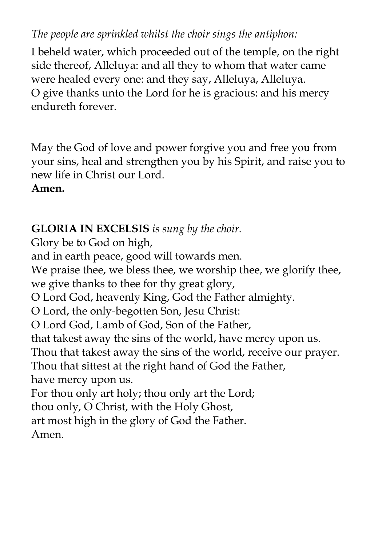#### *The people are sprinkled whilst the choir sings the antiphon:*

I beheld water, which proceeded out of the temple, on the right side thereof, Alleluya: and all they to whom that water came were healed every one: and they say, Alleluya, Alleluya. O give thanks unto the Lord for he is gracious: and his mercy endureth forever.

May the God of love and power forgive you and free you from your sins, heal and strengthen you by his Spirit, and raise you to new life in Christ our Lord. **Amen.**

#### **GLORIA IN EXCELSIS** *is sung by the choir.*

Glory be to God on high,

and in earth peace, good will towards men.

We praise thee, we bless thee, we worship thee, we glorify thee,

we give thanks to thee for thy great glory,

O Lord God, heavenly King, God the Father almighty.

O Lord, the only-begotten Son, Jesu Christ:

O Lord God, Lamb of God, Son of the Father,

that takest away the sins of the world, have mercy upon us.

Thou that takest away the sins of the world, receive our prayer.

Thou that sittest at the right hand of God the Father,

have mercy upon us.

For thou only art holy; thou only art the Lord;

thou only, O Christ, with the Holy Ghost,

art most high in the glory of God the Father.

Amen.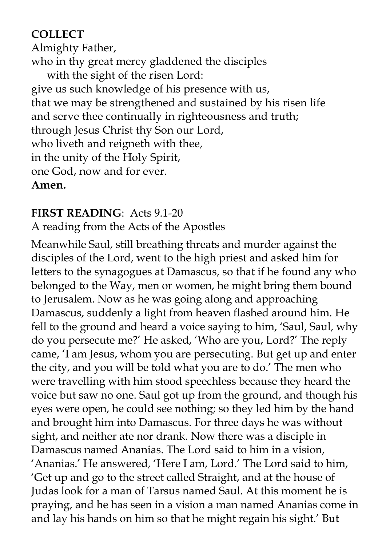#### **COLLECT**

Almighty Father, who in thy great mercy gladdened the disciples with the sight of the risen Lord: give us such knowledge of his presence with us, that we may be strengthened and sustained by his risen life and serve thee continually in righteousness and truth; through Jesus Christ thy Son our Lord, who liveth and reigneth with thee, in the unity of the Holy Spirit, one God, now and for ever. **Amen.**

#### **FIRST READING**: Acts 9.1-20

A reading from the Acts of the Apostles

Meanwhile Saul, still breathing threats and murder against the disciples of the Lord, went to the high priest and asked him for letters to the synagogues at Damascus, so that if he found any who belonged to the Way, men or women, he might bring them bound to Jerusalem. Now as he was going along and approaching Damascus, suddenly a light from heaven flashed around him. He fell to the ground and heard a voice saying to him, 'Saul, Saul, why do you persecute me?' He asked, 'Who are you, Lord?' The reply came, 'I am Jesus, whom you are persecuting. But get up and enter the city, and you will be told what you are to do.' The men who were travelling with him stood speechless because they heard the voice but saw no one. Saul got up from the ground, and though his eyes were open, he could see nothing; so they led him by the hand and brought him into Damascus. For three days he was without sight, and neither ate nor drank. Now there was a disciple in Damascus named Ananias. The Lord said to him in a vision, 'Ananias.' He answered, 'Here I am, Lord.' The Lord said to him, 'Get up and go to the street called Straight, and at the house of Judas look for a man of Tarsus named Saul. At this moment he is praying, and he has seen in a vision a man named Ananias come in and lay his hands on him so that he might regain his sight.' But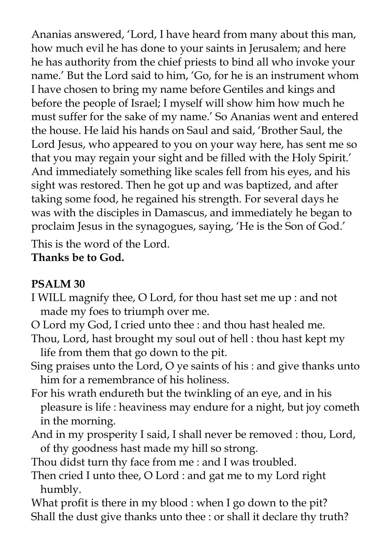Ananias answered, 'Lord, I have heard from many about this man, how much evil he has done to your saints in Jerusalem; and here he has authority from the chief priests to bind all who invoke your name.' But the Lord said to him, 'Go, for he is an instrument whom I have chosen to bring my name before Gentiles and kings and before the people of Israel; I myself will show him how much he must suffer for the sake of my name.' So Ananias went and entered the house. He laid his hands on Saul and said, 'Brother Saul, the Lord Jesus, who appeared to you on your way here, has sent me so that you may regain your sight and be filled with the Holy Spirit.' And immediately something like scales fell from his eyes, and his sight was restored. Then he got up and was baptized, and after taking some food, he regained his strength. For several days he was with the disciples in Damascus, and immediately he began to proclaim Jesus in the synagogues, saying, 'He is the Son of God.'

This is the word of the Lord.

**Thanks be to God.**

#### **PSALM 30**

- I WILL magnify thee, O Lord, for thou hast set me up : and not made my foes to triumph over me.
- O Lord my God, I cried unto thee : and thou hast healed me.
- Thou, Lord, hast brought my soul out of hell : thou hast kept my life from them that go down to the pit.
- Sing praises unto the Lord, O ye saints of his : and give thanks unto him for a remembrance of his holiness.
- For his wrath endureth but the twinkling of an eye, and in his pleasure is life : heaviness may endure for a night, but joy cometh in the morning.
- And in my prosperity I said, I shall never be removed : thou, Lord, of thy goodness hast made my hill so strong.
- Thou didst turn thy face from me : and I was troubled.
- Then cried I unto thee, O Lord : and gat me to my Lord right humbly.
- What profit is there in my blood : when I go down to the pit? Shall the dust give thanks unto thee : or shall it declare thy truth?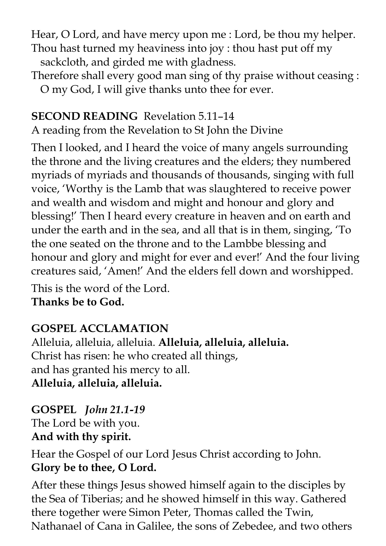Hear, O Lord, and have mercy upon me : Lord, be thou my helper. Thou hast turned my heaviness into joy : thou hast put off my sackcloth, and girded me with gladness.

Therefore shall every good man sing of thy praise without ceasing : O my God, I will give thanks unto thee for ever.

#### **SECOND READING** Revelation 5.11–14

A reading from the Revelation to St John the Divine

Then I looked, and I heard the voice of many angels surrounding the throne and the living creatures and the elders; they numbered myriads of myriads and thousands of thousands, singing with full voice, 'Worthy is the Lamb that was slaughtered to receive power and wealth and wisdom and might and honour and glory and blessing!' Then I heard every creature in heaven and on earth and under the earth and in the sea, and all that is in them, singing, 'To the one seated on the throne and to the Lambbe blessing and honour and glory and might for ever and ever!' And the four living creatures said, 'Amen!' And the elders fell down and worshipped.

This is the word of the Lord. **Thanks be to God.** 

### **GOSPEL ACCLAMATION**

Alleluia, alleluia, alleluia. **Alleluia, alleluia, alleluia.** Christ has risen: he who created all things, and has granted his mercy to all. **Alleluia, alleluia, alleluia.**

**GOSPEL** *John 21.1-19* The Lord be with you. **And with thy spirit.** 

Hear the Gospel of our Lord Jesus Christ according to John. **Glory be to thee, O Lord.**

After these things Jesus showed himself again to the disciples by the Sea of Tiberias; and he showed himself in this way. Gathered there together were Simon Peter, Thomas called the Twin, Nathanael of Cana in Galilee, the sons of Zebedee, and two others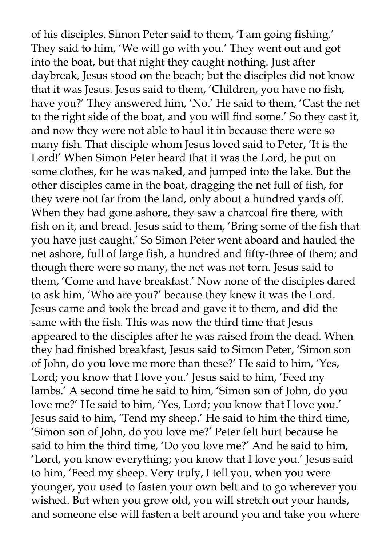of his disciples. Simon Peter said to them, 'I am going fishing.' They said to him, 'We will go with you.' They went out and got into the boat, but that night they caught nothing. Just after daybreak, Jesus stood on the beach; but the disciples did not know that it was Jesus. Jesus said to them, 'Children, you have no fish, have you?' They answered him, 'No.' He said to them, 'Cast the net to the right side of the boat, and you will find some.' So they cast it, and now they were not able to haul it in because there were so many fish. That disciple whom Jesus loved said to Peter, 'It is the Lord!' When Simon Peter heard that it was the Lord, he put on some clothes, for he was naked, and jumped into the lake. But the other disciples came in the boat, dragging the net full of fish, for they were not far from the land, only about a hundred yards off. When they had gone ashore, they saw a charcoal fire there, with fish on it, and bread. Jesus said to them, 'Bring some of the fish that you have just caught.' So Simon Peter went aboard and hauled the net ashore, full of large fish, a hundred and fifty-three of them; and though there were so many, the net was not torn. Jesus said to them, 'Come and have breakfast.' Now none of the disciples dared to ask him, 'Who are you?' because they knew it was the Lord. Jesus came and took the bread and gave it to them, and did the same with the fish. This was now the third time that Jesus appeared to the disciples after he was raised from the dead. When they had finished breakfast, Jesus said to Simon Peter, 'Simon son of John, do you love me more than these?' He said to him, 'Yes, Lord; you know that I love you.' Jesus said to him, 'Feed my lambs.' A second time he said to him, 'Simon son of John, do you love me?' He said to him, 'Yes, Lord; you know that I love you.' Jesus said to him, 'Tend my sheep.' He said to him the third time, 'Simon son of John, do you love me?' Peter felt hurt because he said to him the third time, 'Do you love me?' And he said to him, 'Lord, you know everything; you know that I love you.' Jesus said to him, 'Feed my sheep. Very truly, I tell you, when you were younger, you used to fasten your own belt and to go wherever you wished. But when you grow old, you will stretch out your hands, and someone else will fasten a belt around you and take you where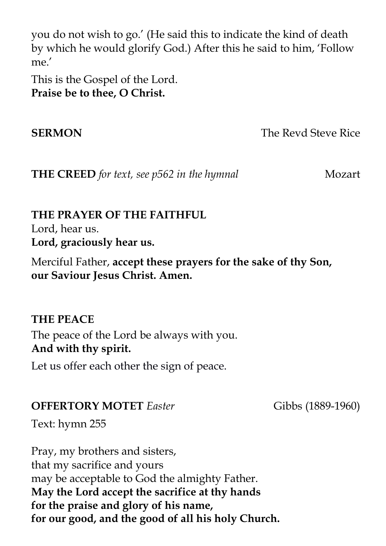you do not wish to go.' (He said this to indicate the kind of death by which he would glorify God.) After this he said to him, 'Follow me.'

This is the Gospel of the Lord. **Praise be to thee, O Christ.** 

**SERMON** The Revd Steve Rice

**THE CREED** for text, see p562 in the hymnal Mozart

#### **THE PRAYER OF THE FAITHFUL** Lord, hear us.

**Lord, graciously hear us.**

Merciful Father, **accept these prayers for the sake of thy Son, our Saviour Jesus Christ. Amen.**

**THE PEACE** The peace of the Lord be always with you. **And with thy spirit.** 

Let us offer each other the sign of peace.

**OFFERTORY MOTET** *Easter* Gibbs (1889-1960)

Text: hymn 255

Pray, my brothers and sisters, that my sacrifice and yours may be acceptable to God the almighty Father. **May the Lord accept the sacrifice at thy hands for the praise and glory of his name, for our good, and the good of all his holy Church.**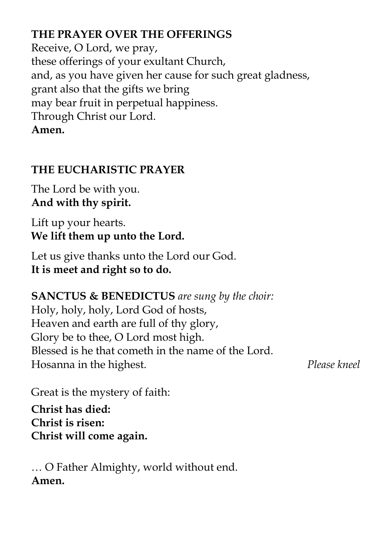#### **THE PRAYER OVER THE OFFERINGS**

Receive, O Lord, we pray, these offerings of your exultant Church, and, as you have given her cause for such great gladness, grant also that the gifts we bring may bear fruit in perpetual happiness. Through Christ our Lord. **Amen.**

#### **THE EUCHARISTIC PRAYER**

The Lord be with you. **And with thy spirit.** 

Lift up your hearts. **We lift them up unto the Lord.** 

Let us give thanks unto the Lord our God. **It is meet and right so to do.** 

#### **SANCTUS & BENEDICTUS** *are sung by the choir:*

Holy, holy, holy, Lord God of hosts, Heaven and earth are full of thy glory, Glory be to thee, O Lord most high. Blessed is he that cometh in the name of the Lord. Hosanna in the highest. *Please kneel*

Great is the mystery of faith:

**Christ has died: Christ is risen: Christ will come again.**

… O Father Almighty, world without end. **Amen.**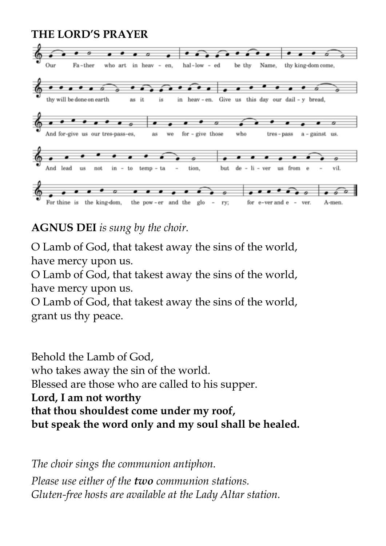#### **THE LORD'S PRAYER**



**AGNUS DEI** *is sung by the choir.*

O Lamb of God, that takest away the sins of the world, have mercy upon us.

O Lamb of God, that takest away the sins of the world, have mercy upon us.

O Lamb of God, that takest away the sins of the world, grant us thy peace.

Behold the Lamb of God, who takes away the sin of the world. Blessed are those who are called to his supper. **Lord, I am not worthy that thou shouldest come under my roof, but speak the word only and my soul shall be healed.**

*The choir sings the communion antiphon. Please use either of the two communion stations. Gluten-free hosts are available at the Lady Altar station.*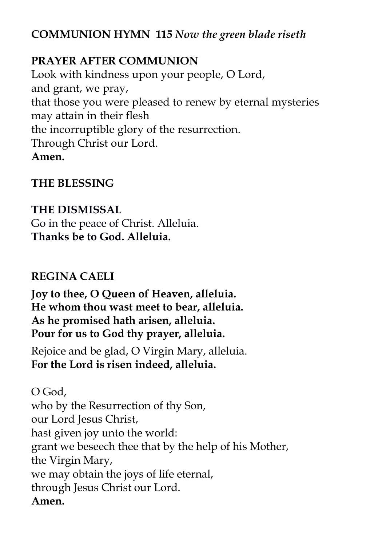#### **COMMUNION HYMN 115** *Now the green blade riseth*

#### **PRAYER AFTER COMMUNION**

Look with kindness upon your people, O Lord, and grant, we pray, that those you were pleased to renew by eternal mysteries may attain in their flesh the incorruptible glory of the resurrection. Through Christ our Lord. **Amen.**

#### **THE BLESSING**

#### **THE DISMISSAL**

Go in the peace of Christ. Alleluia. **Thanks be to God. Alleluia.**

#### **REGINA CAELI**

**Joy to thee, O Queen of Heaven, alleluia. He whom thou wast meet to bear, alleluia. As he promised hath arisen, alleluia. Pour for us to God thy prayer, alleluia.**

Rejoice and be glad, O Virgin Mary, alleluia. **For the Lord is risen indeed, alleluia.**

O God, who by the Resurrection of thy Son, our Lord Jesus Christ, hast given joy unto the world: grant we beseech thee that by the help of his Mother, the Virgin Mary, we may obtain the joys of life eternal, through Jesus Christ our Lord. **Amen.**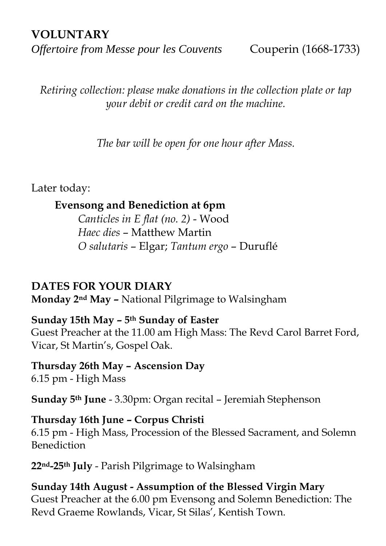#### **VOLUNTARY**

*Offertoire from Messe pour les Couvents* Couperin (1668-1733)

*Retiring collection: please make donations in the collection plate or tap your debit or credit card on the machine.*

*The bar will be open for one hour after Mass.*

Later today:

#### **Evensong and Benediction at 6pm**

*Canticles in E flat (no. 2)* - Wood *Haec dies* – Matthew Martin *O salutaris* – Elgar; *Tantum ergo* – Duruflé

#### **DATES FOR YOUR DIARY**

**Monday 2nd May –** National Pilgrimage to Walsingham

#### **Sunday 15th May – 5th Sunday of Easter**

Guest Preacher at the 11.00 am High Mass: The Revd Carol Barret Ford, Vicar, St Martin's, Gospel Oak.

#### **Thursday 26th May – Ascension Day** 6.15 pm - High Mass

**Sunday 5th June** - 3.30pm: Organ recital – Jeremiah Stephenson

#### **Thursday 16th June – Corpus Christi** 6.15 pm - High Mass, Procession of the Blessed Sacrament, and Solemn Benediction

**22nd-25th July** - Parish Pilgrimage to Walsingham

#### **Sunday 14th August - Assumption of the Blessed Virgin Mary** Guest Preacher at the 6.00 pm Evensong and Solemn Benediction: The Revd Graeme Rowlands, Vicar, St Silas', Kentish Town.